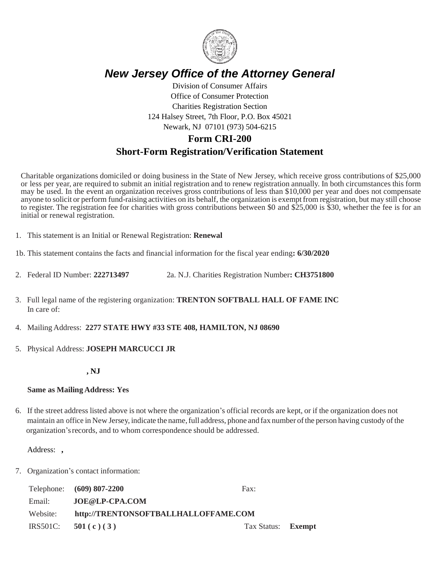

# *New Jersey Office of the Attorney General*

Division of Consumer Affairs Office of Consumer Protection Charities Registration Section 124 Halsey Street, 7th Floor, P.O. Box 45021 Newark, NJ 07101 (973) 504-6215

# **Form CRI-200 Short-Form Registration/Verification Statement**

Charitable organizations domiciled or doing business in the State of New Jersey, which receive gross contributions of \$25,000 or less per year, are required to submit an initial registration and to renew registration annually. In both circumstances this form may be used. In the event an organization receives gross contributions of less than \$10,000 per year and does not compensate anyone to solicit or perform fund-raising activities on its behalf, the organization is exemptfrom registration, but may still choose to register. The registration fee for charities with gross contributions between \$0 and \$25,000 is \$30, whether the fee is for an initial or renewal registration.

- 1. This statement is an Initial or Renewal Registration: **Renewal**
- 1b. This statement contains the facts and financial information for the fiscal year ending**: 6/30/2020**
- 2. Federal ID Number: **222713497** 2a. N.J. Charities Registration Number**: CH3751800**
- 3. Full legal name of the registering organization: **TRENTON SOFTBALL HALL OF FAME INC** In care of:
- 4. Mailing Address: **2277 STATE HWY #33 STE 408, HAMILTON, NJ 08690**
- 5. Physical Address: **JOSEPH MARCUCCI JR**

### **, NJ**

### **Same as Mailing Address: Yes**

6. If the street address listed above is not where the organization's official records are kept, or if the organization does not maintain an office in New Jersey, indicate the name,full address, phone and fax number ofthe person having custody ofthe organization'srecords, and to whom correspondence should be addressed.

### Address: **,**

7. Organization's contact information:

|          | Telephone: (609) 807-2200            | Fax:                      |  |
|----------|--------------------------------------|---------------------------|--|
| Email:   | JOE@LP-CPA.COM                       |                           |  |
| Website: | http://TRENTONSOFTBALLHALLOFFAME.COM |                           |  |
|          | IRS501C: $501(c)(3)$                 | Tax Status: <b>Exempt</b> |  |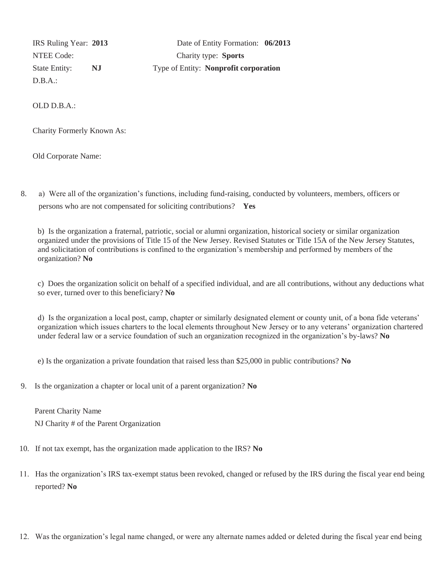D.B.A.:

 IRS Ruling Year: **2013** Date of Entity Formation: **06/2013** NTEE Code: Charity type: **Sports** State Entity: **NJ** Type of Entity: **Nonprofit corporation**

OLD D.B.A.:

Charity Formerly Known As:

Old Corporate Name:

8. a) Were all of the organization's functions, including fund-raising, conducted by volunteers, members, officers or persons who are not compensated for soliciting contributions? **Yes**

b) Is the organization a fraternal, patriotic, social or alumni organization, historical society or similar organization organized under the provisions of Title 15 of the New Jersey. Revised Statutes or Title 15A of the New Jersey Statutes, and solicitation of contributions is confined to the organization's membership and performed by members of the organization? **No**

c) Does the organization solicit on behalf of a specified individual, and are all contributions, without any deductions what so ever, turned over to this beneficiary? **No**

d) Is the organization a local post, camp, chapter or similarly designated element or county unit, of a bona fide veterans' organization which issues charters to the local elements throughout New Jersey or to any veterans' organization chartered under federal law or a service foundation of such an organization recognized in the organization's by-laws? **No**

e) Is the organization a private foundation that raised less than \$25,000 in public contributions? **No**

9. Is the organization a chapter or local unit of a parent organization? **No**

 Parent Charity Name NJ Charity # of the Parent Organization

- 10. If not tax exempt, has the organization made application to the IRS? **No**
- 11. Has the organization's IRS tax-exempt status been revoked, changed or refused by the IRS during the fiscal year end being reported? **No**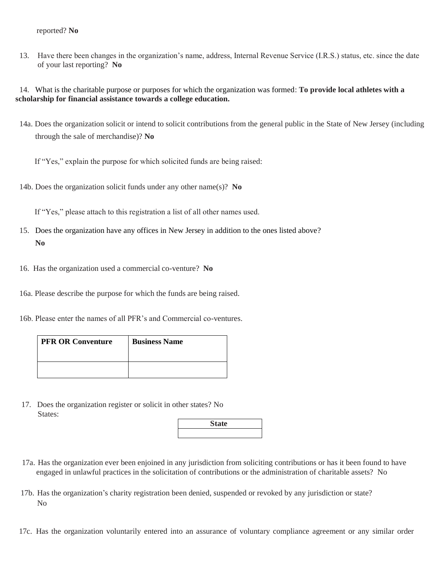#### reported? **No**

 13. Have there been changes in the organization's name, address, Internal Revenue Service (I.R.S.) status, etc. since the date of your last reporting? **No**

 14. What is the charitable purpose or purposes for which the organization was formed: **To provide local athletes with a scholarship for financial assistance towards a college education.**

 14a. Does the organization solicit or intend to solicit contributions from the general public in the State of New Jersey (including through the sale of merchandise)? **No**

If "Yes," explain the purpose for which solicited funds are being raised:

14b. Does the organization solicit funds under any other name(s)? **No**

If "Yes," please attach to this registration a list of all other names used.

- 15. Does the organization have any offices in New Jersey in addition to the ones listed above?  **No**
- 16. Has the organization used a commercial co-venture? **No**

16a. Please describe the purpose for which the funds are being raised.

16b. Please enter the names of all PFR's and Commercial co-ventures.

| <b>PFR OR Conventure</b> | <b>Business Name</b> |
|--------------------------|----------------------|
|                          |                      |

 17. Does the organization register or solicit in other states? No States:

| <b>State</b> |  |
|--------------|--|
|              |  |

- 17a. Has the organization ever been enjoined in any jurisdiction from soliciting contributions or has it been found to have engaged in unlawful practices in the solicitation of contributions or the administration of charitable assets? No
- 17b. Has the organization's charity registration been denied, suspended or revoked by any jurisdiction or state? No
- 17c. Has the organization voluntarily entered into an assurance of voluntary compliance agreement or any similar order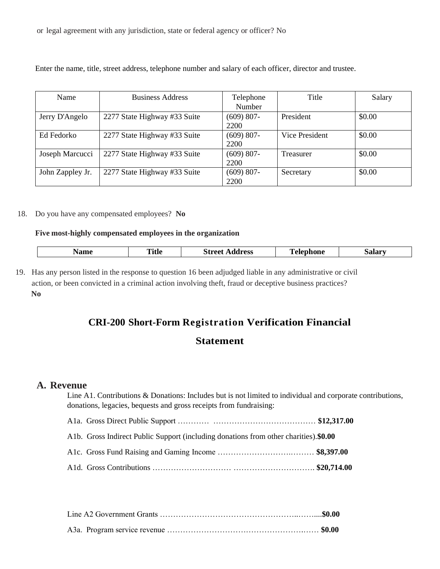or legal agreement with any jurisdiction, state or federal agency or officer? No

Enter the name, title, street address, telephone number and salary of each officer, director and trustee.

| Name             | <b>Business Address</b>      | Telephone<br>Number   | Title            | Salary |
|------------------|------------------------------|-----------------------|------------------|--------|
| Jerry D'Angelo   | 2277 State Highway #33 Suite | $(609) 807 -$<br>2200 | President        | \$0.00 |
| Ed Fedorko       | 2277 State Highway #33 Suite | $(609) 807 -$<br>2200 | Vice President   | \$0.00 |
| Joseph Marcucci  | 2277 State Highway #33 Suite | $(609) 807 -$<br>2200 | <b>Treasurer</b> | \$0.00 |
| John Zappley Jr. | 2277 State Highway #33 Suite | $(609) 807 -$<br>2200 | Secretary        | \$0.00 |

18. Do you have any compensated employees? **No**

#### **Five most-highly compensated employees in the organization**

| $- - - -$ | ,,,,<br>Title | . troot<br>ress<br>91.I | $- - -$<br>_____<br>_____ | $- - -$<br>уятат |
|-----------|---------------|-------------------------|---------------------------|------------------|
|           |               |                         |                           |                  |

19. Has any person listed in the response to question 16 been adjudged liable in any administrative or civil action, or been convicted in a criminal action involving theft, fraud or deceptive business practices? **No**

### **CRI-200 Short-Form Registration Verification Financial**

### **Statement**

### **A. Revenue**

Line A1. Contributions & Donations: Includes but is not limited to individual and corporate contributions, donations, legacies, bequests and gross receipts from fundraising:

| Alb. Gross Indirect Public Support (including donations from other charities).\$0.00 |  |
|--------------------------------------------------------------------------------------|--|
|                                                                                      |  |
|                                                                                      |  |